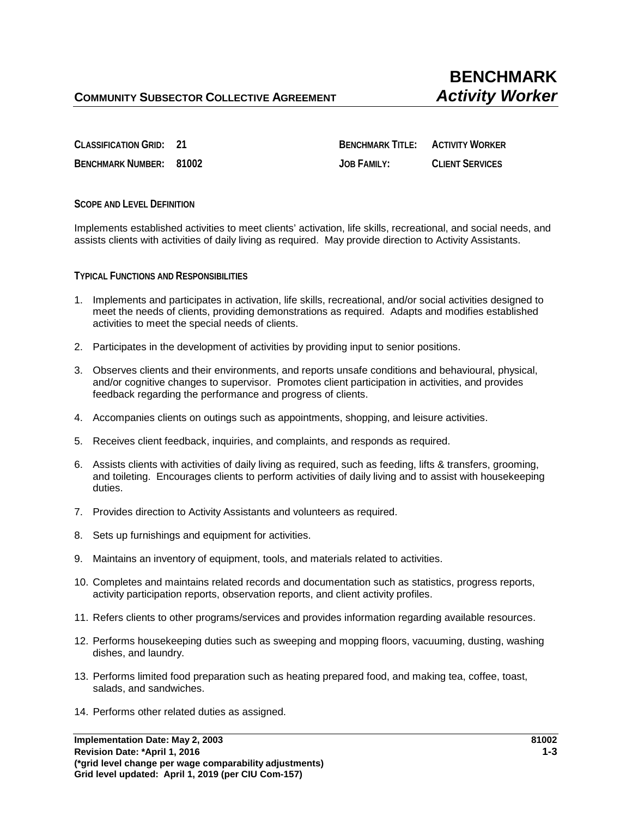**CLASSIFICATION GRID: 21 BENCHMARK TITLE: ACTIVITY WORKER BENCHMARK NUMBER: 81002 JOB FAMILY: CLIENT SERVICES**

**SCOPE AND LEVEL DEFINITION**

Implements established activities to meet clients' activation, life skills, recreational, and social needs, and assists clients with activities of daily living as required. May provide direction to Activity Assistants.

**TYPICAL FUNCTIONS AND RESPONSIBILITIES** 

- 1. Implements and participates in activation, life skills, recreational, and/or social activities designed to meet the needs of clients, providing demonstrations as required. Adapts and modifies established activities to meet the special needs of clients.
- 2. Participates in the development of activities by providing input to senior positions.
- 3. Observes clients and their environments, and reports unsafe conditions and behavioural, physical, and/or cognitive changes to supervisor. Promotes client participation in activities, and provides feedback regarding the performance and progress of clients.
- 4. Accompanies clients on outings such as appointments, shopping, and leisure activities.
- 5. Receives client feedback, inquiries, and complaints, and responds as required.
- 6. Assists clients with activities of daily living as required, such as feeding, lifts & transfers, grooming, and toileting. Encourages clients to perform activities of daily living and to assist with housekeeping duties.
- 7. Provides direction to Activity Assistants and volunteers as required.
- 8. Sets up furnishings and equipment for activities.
- 9. Maintains an inventory of equipment, tools, and materials related to activities.
- 10. Completes and maintains related records and documentation such as statistics, progress reports, activity participation reports, observation reports, and client activity profiles.
- 11. Refers clients to other programs/services and provides information regarding available resources.
- 12. Performs housekeeping duties such as sweeping and mopping floors, vacuuming, dusting, washing dishes, and laundry.
- 13. Performs limited food preparation such as heating prepared food, and making tea, coffee, toast, salads, and sandwiches.
- 14. Performs other related duties as assigned.